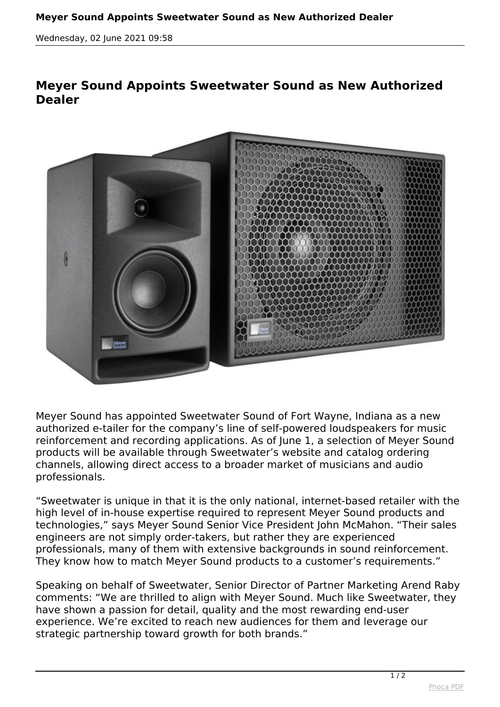*Wednesday, 02 June 2021 09:58*

## **Meyer Sound Appoints Sweetwater Sound as New Authorized Dealer**



*Meyer Sound has appointed Sweetwater Sound of Fort Wayne, Indiana as a new authorized e-tailer for the company's line of self-powered loudspeakers for music reinforcement and recording applications. As of June 1, a selection of Meyer Sound products will be available through Sweetwater's website and catalog ordering channels, allowing direct access to a broader market of musicians and audio professionals.*

*"Sweetwater is unique in that it is the only national, internet-based retailer with the high level of in-house expertise required to represent Meyer Sound products and technologies," says Meyer Sound Senior Vice President John McMahon. "Their sales engineers are not simply order-takers, but rather they are experienced professionals, many of them with extensive backgrounds in sound reinforcement. They know how to match Meyer Sound products to a customer's requirements."*

*Speaking on behalf of Sweetwater, Senior Director of Partner Marketing Arend Raby comments: "We are thrilled to align with Meyer Sound. Much like Sweetwater, they have shown a passion for detail, quality and the most rewarding end-user experience. We're excited to reach new audiences for them and leverage our strategic partnership toward growth for both brands."*